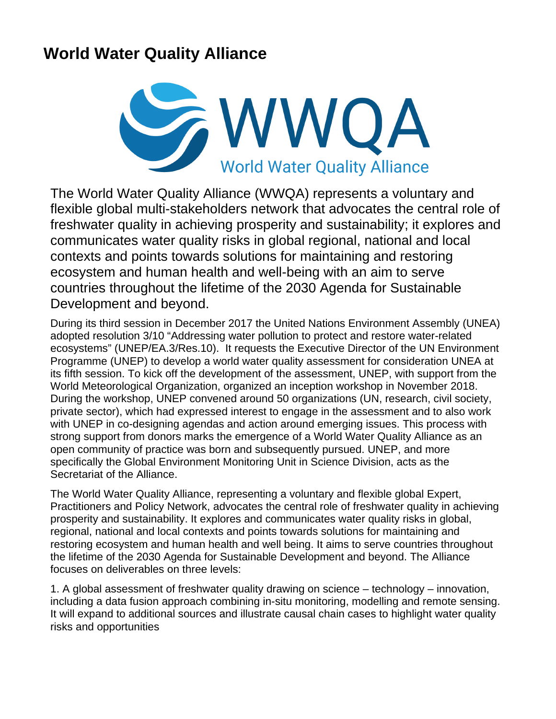## **World Water Quality Alliance**



The World Water Quality Alliance (WWQA) represents a voluntary and flexible global multi-stakeholders network that advocates the central role of freshwater quality in achieving prosperity and sustainability; it explores and communicates water quality risks in global regional, national and local contexts and points towards solutions for maintaining and restoring ecosystem and human health and well-being with an aim to serve countries throughout the lifetime of the 2030 Agenda for Sustainable Development and beyond.

During its third session in December 2017 the United Nations Environment Assembly (UNEA) adopted resolution 3/10 "Addressing water pollution to protect and restore water-related ecosystems" (UNEP/EA.3/Res.10). It requests the Executive Director of the UN Environment Programme (UNEP) to develop a world water quality assessment for consideration UNEA at its fifth session. To kick off the development of the assessment, UNEP, with support from the World Meteorological Organization, organized an inception workshop in November 2018. During the workshop, UNEP convened around 50 organizations (UN, research, civil society, private sector), which had expressed interest to engage in the assessment and to also work with UNEP in co-designing agendas and action around emerging issues. This process with strong support from donors marks the emergence of a World Water Quality Alliance as an open community of practice was born and subsequently pursued. UNEP, and more specifically the Global Environment Monitoring Unit in Science Division, acts as the Secretariat of the Alliance.

The World Water Quality Alliance, representing a voluntary and flexible global Expert, Practitioners and Policy Network, advocates the central role of freshwater quality in achieving prosperity and sustainability. It explores and communicates water quality risks in global, regional, national and local contexts and points towards solutions for maintaining and restoring ecosystem and human health and well being. It aims to serve countries throughout the lifetime of the 2030 Agenda for Sustainable Development and beyond. The Alliance focuses on deliverables on three levels:

1. A global assessment of freshwater quality drawing on science – technology – innovation, including a data fusion approach combining in-situ monitoring, modelling and remote sensing. It will expand to additional sources and illustrate causal chain cases to highlight water quality risks and opportunities